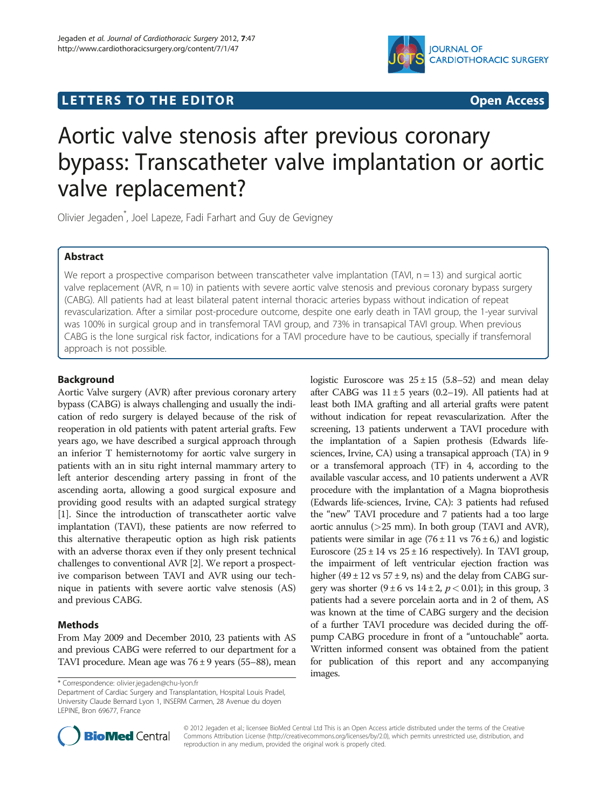



# Aortic valve stenosis after previous coronary bypass: Transcatheter valve implantation or aortic valve replacement?

Olivier Jegaden\* , Joel Lapeze, Fadi Farhart and Guy de Gevigney

# Abstract

We report a prospective comparison between transcatheter valve implantation (TAVI,  $n = 13$ ) and surgical aortic valve replacement (AVR,  $n = 10$ ) in patients with severe aortic valve stenosis and previous coronary bypass surgery (CABG). All patients had at least bilateral patent internal thoracic arteries bypass without indication of repeat revascularization. After a similar post-procedure outcome, despite one early death in TAVI group, the 1-year survival was 100% in surgical group and in transfemoral TAVI group, and 73% in transapical TAVI group. When previous CABG is the lone surgical risk factor, indications for a TAVI procedure have to be cautious, specially if transfemoral approach is not possible.

# Background

Aortic Valve surgery (AVR) after previous coronary artery bypass (CABG) is always challenging and usually the indication of redo surgery is delayed because of the risk of reoperation in old patients with patent arterial grafts. Few years ago, we have described a surgical approach through an inferior T hemisternotomy for aortic valve surgery in patients with an in situ right internal mammary artery to left anterior descending artery passing in front of the ascending aorta, allowing a good surgical exposure and providing good results with an adapted surgical strategy [[1\]](#page-2-0). Since the introduction of transcatheter aortic valve implantation (TAVI), these patients are now referred to this alternative therapeutic option as high risk patients with an adverse thorax even if they only present technical challenges to conventional AVR [\[2](#page-2-0)]. We report a prospective comparison between TAVI and AVR using our technique in patients with severe aortic valve stenosis (AS) and previous CABG.

# Methods

From May 2009 and December 2010, 23 patients with AS and previous CABG were referred to our department for a TAVI procedure. Mean age was  $76 \pm 9$  years (55–88), mean

\* Correspondence: [olivier.jegaden@chu-lyon.fr](mailto:olivier.jegaden@chu-lyon.fr)

Department of Cardiac Surgery and Transplantation, Hospital Louis Pradel, University Claude Bernard Lyon 1, INSERM Carmen, 28 Avenue du doyen LEPINE, Bron 69677, France

logistic Euroscore was  $25 \pm 15$  (5.8–52) and mean delay after CABG was  $11 \pm 5$  years (0.2–19). All patients had at least both IMA grafting and all arterial grafts were patent without indication for repeat revascularization. After the screening, 13 patients underwent a TAVI procedure with the implantation of a Sapien prothesis (Edwards lifesciences, Irvine, CA) using a transapical approach (TA) in 9 or a transfemoral approach (TF) in 4, according to the available vascular access, and 10 patients underwent a AVR procedure with the implantation of a Magna bioprothesis (Edwards life-sciences, Irvine, CA): 3 patients had refused the "new" TAVI procedure and 7 patients had a too large aortic annulus (>25 mm). In both group (TAVI and AVR), patients were similar in age  $(76 \pm 11 \text{ vs } 76 \pm 6)$  and logistic Euroscore  $(25 \pm 14 \text{ vs } 25 \pm 16 \text{ respectively})$ . In TAVI group, the impairment of left ventricular ejection fraction was higher  $(49 \pm 12 \text{ vs } 57 \pm 9, \text{ ns})$  and the delay from CABG surgery was shorter  $(9 \pm 6 \text{ vs } 14 \pm 2, p < 0.01)$ ; in this group, 3 patients had a severe porcelain aorta and in 2 of them, AS was known at the time of CABG surgery and the decision of a further TAVI procedure was decided during the offpump CABG procedure in front of a "untouchable" aorta. Written informed consent was obtained from the patient for publication of this report and any accompanying images.



© 2012 Jegaden et al.; licensee BioMed Central Ltd This is an Open Access article distributed under the terms of the Creative Commons Attribution License [\(http://creativecommons.org/licenses/by/2.0\)](http://creativecommons.org/licenses/by/2.0), which permits unrestricted use, distribution, and reproduction in any medium, provided the original work is properly cited.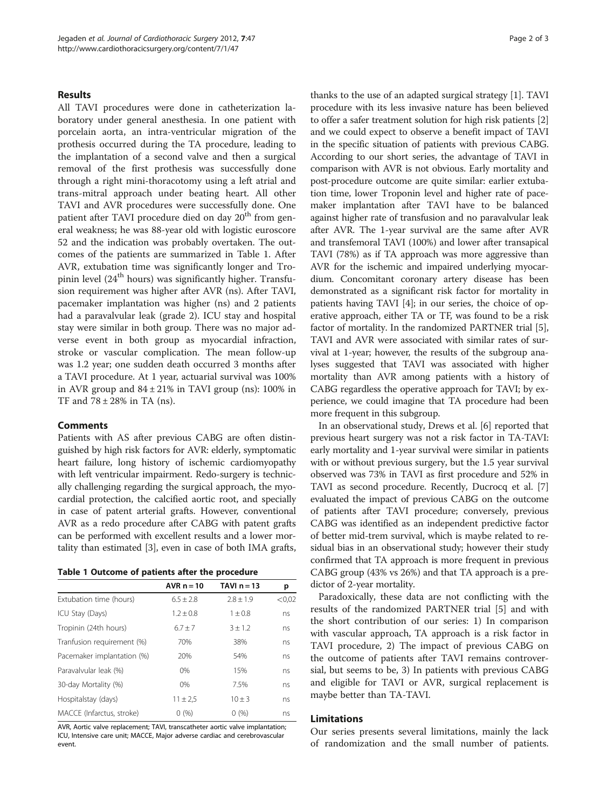### Results

All TAVI procedures were done in catheterization laboratory under general anesthesia. In one patient with porcelain aorta, an intra-ventricular migration of the prothesis occurred during the TA procedure, leading to the implantation of a second valve and then a surgical removal of the first prothesis was successfully done through a right mini-thoracotomy using a left atrial and trans-mitral approach under beating heart. All other TAVI and AVR procedures were successfully done. One patient after TAVI procedure died on day  $20<sup>th</sup>$  from general weakness; he was 88-year old with logistic euroscore 52 and the indication was probably overtaken. The outcomes of the patients are summarized in Table 1. After AVR, extubation time was significantly longer and Tropinin level ( $24<sup>th</sup>$  hours) was significantly higher. Transfusion requirement was higher after AVR (ns). After TAVI, pacemaker implantation was higher (ns) and 2 patients had a paravalvular leak (grade 2). ICU stay and hospital stay were similar in both group. There was no major adverse event in both group as myocardial infraction, stroke or vascular complication. The mean follow-up was 1.2 year; one sudden death occurred 3 months after a TAVI procedure. At 1 year, actuarial survival was 100% in AVR group and  $84 \pm 21\%$  in TAVI group (ns): 100% in TF and  $78 \pm 28\%$  in TA (ns).

## Comments

Patients with AS after previous CABG are often distinguished by high risk factors for AVR: elderly, symptomatic heart failure, long history of ischemic cardiomyopathy with left ventricular impairment. Redo-surgery is technically challenging regarding the surgical approach, the myocardial protection, the calcified aortic root, and specially in case of patent arterial grafts. However, conventional AVR as a redo procedure after CABG with patent grafts can be performed with excellent results and a lower mortality than estimated [\[3](#page-2-0)], even in case of both IMA grafts,

| Table 1 Outcome of patients after the procedure |  |  |
|-------------------------------------------------|--|--|
|-------------------------------------------------|--|--|

|                            | AVR $n = 10$ | TAVI $n = 13$ | р      |
|----------------------------|--------------|---------------|--------|
| Extubation time (hours)    | $6.5 + 2.8$  | $2.8 + 1.9$   | < 0.02 |
| ICU Stay (Days)            | $1.2 + 0.8$  | $1 + 0.8$     | ns     |
| Tropinin (24th hours)      | $6.7 \pm 7$  | $3 + 1.2$     | ns     |
| Tranfusion requirement (%) | 70%          | 38%           | ns     |
| Pacemaker implantation (%) | 20%          | 54%           | ns     |
| Paravalvular leak (%)      | 0%           | 15%           | ns     |
| 30-day Mortality (%)       | $0\%$        | 7.5%          | ns     |
| Hospitalstay (days)        | $11 \pm 2.5$ | $10 \pm 3$    | ns     |
| MACCE (Infarctus, stroke)  | 0(%)         | 0(%)          | ns     |

AVR, Aortic valve replacement; TAVI, transcatheter aortic valve implantation; ICU, Intensive care unit; MACCE, Major adverse cardiac and cerebrovascular event.

thanks to the use of an adapted surgical strategy [[1\]](#page-2-0). TAVI procedure with its less invasive nature has been believed to offer a safer treatment solution for high risk patients [[2](#page-2-0)] and we could expect to observe a benefit impact of TAVI in the specific situation of patients with previous CABG. According to our short series, the advantage of TAVI in comparison with AVR is not obvious. Early mortality and post-procedure outcome are quite similar: earlier extubation time, lower Troponin level and higher rate of pacemaker implantation after TAVI have to be balanced against higher rate of transfusion and no paravalvular leak after AVR. The 1-year survival are the same after AVR and transfemoral TAVI (100%) and lower after transapical TAVI (78%) as if TA approach was more aggressive than AVR for the ischemic and impaired underlying myocardium. Concomitant coronary artery disease has been demonstrated as a significant risk factor for mortality in patients having TAVI [\[4\]](#page-2-0); in our series, the choice of operative approach, either TA or TF, was found to be a risk factor of mortality. In the randomized PARTNER trial [[5](#page-2-0)], TAVI and AVR were associated with similar rates of survival at 1-year; however, the results of the subgroup analyses suggested that TAVI was associated with higher mortality than AVR among patients with a history of CABG regardless the operative approach for TAVI; by experience, we could imagine that TA procedure had been more frequent in this subgroup.

In an observational study, Drews et al. [\[6](#page-2-0)] reported that previous heart surgery was not a risk factor in TA-TAVI: early mortality and 1-year survival were similar in patients with or without previous surgery, but the 1.5 year survival observed was 73% in TAVI as first procedure and 52% in TAVI as second procedure. Recently, Ducrocq et al. [[7](#page-2-0)] evaluated the impact of previous CABG on the outcome of patients after TAVI procedure; conversely, previous CABG was identified as an independent predictive factor of better mid-trem survival, which is maybe related to residual bias in an observational study; however their study confirmed that TA approach is more frequent in previous CABG group (43% vs 26%) and that TA approach is a predictor of 2-year mortality.

Paradoxically, these data are not conflicting with the results of the randomized PARTNER trial [\[5\]](#page-2-0) and with the short contribution of our series: 1) In comparison with vascular approach, TA approach is a risk factor in TAVI procedure, 2) The impact of previous CABG on the outcome of patients after TAVI remains controversial, but seems to be, 3) In patients with previous CABG and eligible for TAVI or AVR, surgical replacement is maybe better than TA-TAVI.

#### Limitations

Our series presents several limitations, mainly the lack of randomization and the small number of patients.